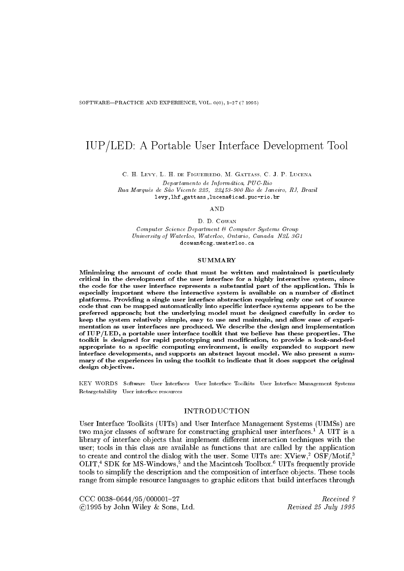$\mathcal{S}$  software produce  $\mathcal{S}$  and  $\mathcal{S}$  and  $\mathcal{S}$  and  $\mathcal{S}$  and  $\mathcal{S}$  and  $\mathcal{S}$  and  $\mathcal{S}$  and  $\mathcal{S}$  and  $\mathcal{S}$  and  $\mathcal{S}$  and  $\mathcal{S}$  and  $\mathcal{S}$  and  $\mathcal{S}$  and  $\mathcal{S}$  and  $\mathcal{S}$  and

# IUP/LED: A Portable User Interface Development Tool

C. H. LEVY, L. H. DE FIGUEIREDO, M. GATTASS, C. J. P. LUCENA

Departamento de Informatica PUC-Rio Rua Marques de Sao Vicente - Rio de Janeiro RJ Brazil levylhfgattasslucenaicad-pucrio-br

### AND

Computer Science Department & Computer Systems Group University of Waterloo, Waterloo, Ontario, Canada N2L  $3G1$ dcowancsg-uwaterloo-ca

### SUMMARY

Minimizing the amount of code that must be written and maintained is particularly critical in the development of the user interface for a highly interactive system, since the code for the user interface represents a substantial part of the application This is especially important where the interactive system is available on a number of distinct platforms. Providing a single user interface abstraction requiring only one set of source code that can be mapped automatically into specifically interfaces systems upperment to be the preferred approach; but the underlying model must be designed carefully in order to keep the system relatively simple, easy to use and maintain, and allow ease of experimentation as user interfaces are produced We describe the design and implementation of IUP/LED, a portable user interface toolkit that we believe has these properties. The toolkit is designed for rapid prototyping and modi-cation to provide a lookandfeel appropriate to a specific environment is easily environment is easily expanded to support as  $\alpha$ interface developments, and supports an abstract layout model. We also present a summary of the experiences in using the toolkit to indicate that it does support the original design objectives

KEY WORDS Software User Interfaces User Interface Toolkits User Interface Management Systems Retargetability User interface resources

# INTRODUCTION

User Interface Toolkits (UITs) and User Interface Management Systems (UIMSs) are two major classes of software for constructing graphical user interfaces. A UIT is a library of interface objects that implement different interaction techniques with the user; tools in this class are available as functions that are called by the application to create and control the dialog with the user. Some UITs are:  $\Lambda$ View,  $\Delta$ SF/Motif, OLIT SDK for MSWindows and the Macintosh Toolbox- UITs frequently provide tools to simplify the description and the composition of interface ob jects- These tools range from simple resource languages to graphic editors that build interfaces through

CCC  
  Received  $c$  1995 by John Wiley & Sons, Ltd.

revised and the set of the set of the set of the set of the set of the set of the set of the set of the set of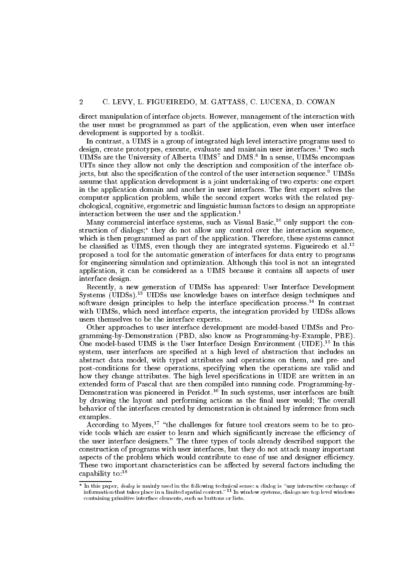#### $\overline{2}$ C- LEVY L- FIGUEIREDO M- GATTASS C- LUCENA D- COWAN

adies addition publication of interfaces of jects-the interface of the interaction with with the interaction w the user must be programmed as part of the application, even when user interface development is supported by a toolkit.

In contrast, a UIMS is a group of integrated high level interactive programs used to design, create prototypes, execute, evaluate and maintain user interfaces. The such UIMSS are the University of Alberta UIMS and DMS. The sense, UIMSS encompass UITs since they allow not only the description and composition of the interface ob jects, but also the specification of the control of the user interaction sequence. OTM5S assume that application development is a joint undertaking of two experts: one expert in the application domain and another in user interfaces- The rst expert solves the computer application problem, while the second expert works with the related psychological, cognitive, ergometric and linguistic human factors to design an appropriate interaction between the user and the application-

Many commercial interface systems, such as Visual Basic,<sup>10</sup> only support the construction of dialogs;<sup>\*</sup> they do not allow any control over the interaction sequence, which is the application-then programmed as part of the application-theoretication-these systems cannot be applicationbe classied as UIMS even though they are integrated systems- Figueiredo et al proposed a tool for the automatic generation of interfaces for data entry to programs for engineering simulation and optimization- Although this tool is not an integrated application it can be considered as a UIMS because it contains all aspects of user interface design.

Recently, a new generation of UIMSs has appeared: User Interface Development Systems (UIDSS). UIDSS use knowledge bases on interface design techniques and software design principles to help the interface specification process. The contrast with UIMSs, which need interface experts, the integration provided by UIDSs allows users themselves to be the interface experts.

Other approaches to user interface development are model-based UIMSs and Programming-by-Demonstration (PBD, also know as Programming-by-Example, PBE). One model-based UIMS is the User Interface Design Environment (UIDE). In this system, user interfaces are specified at a high level of abstraction that includes an abstract data model, with typed attributes and operations on them, and pre- and post-conditions for these operations, specifying when the operations are valid and how they change attributes- The high level specications in UIDE are written in an extended form of Pascal that are then compiled into running code- Programmingby Demonstration was pioneered in Peridot- In such systems user interfaces are built by drawing the layout and performing actions as the final user would; The overall behavior of the interfaces created by demonstration is obtained by inference from such examples.

According to Myers,<sup>17</sup> "the challenges for future tool creators seem to be to provide tools which are easier to learn and which significantly increase the efficiency of the user interface designers- the three types of three three types of the support the t construction of programs with user interfaces but they do not attack many important aspects of the problem which would contribute to ease of use and designer efficiency. These two important characteristics can be affected by several factors including the capability to:<sup>18</sup>

In this paper dialog is mainly used in the following technical sense a dialog is -any interactive exchange ofinformation that takes place in a limited spatial context."<sup>11</sup> In window systems, dialogs are top level windows containing primitive interface elements, such as buttons or lists.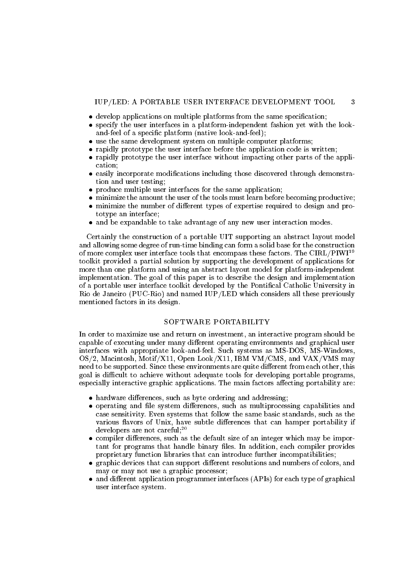- $\bullet$  develop applications on multiple platforms from the same specification;
- specify the user interfaces in a platform-independent fashion yet with the lookand-feel of a specific platform (native look-and-feel);
- $\bullet$  use the same development system on multiple computer platforms:
- rapidly prototype the user interface before the application code is written;
- rapidly prototype the user interface without impacting other parts of the application
- easily incorporate modifications including those discovered through demonstration and user testing
- produce multiple user interfaces for the same application;
- $\bullet$  minimize the amount the user of the tools must learn before becoming productive; • minimize the number of different types of expertise required to design and pro-
- totype an interface
- and be expandable to take advantage of any new user interaction modes.

Certainly the construction of a portable UIT supporting an abstract layout model and allowing some degree of run-time binding can form a solid base for the construction of more complex user interface tools that encompass these factors. The CIRL/PIWI toolkit provided a partial solution by supporting the development of applications for more than one platform and using an abstract layout model for platform-independent implementation- The goal of this paper is to describe the design and implementation of a portable user interface toolkit developed by the Pontifical Catholic University in Rio de Janeiro (PUC-Rio) and named  $IUP/LED$  which considers all these previously mentioned factors in its design-

# SOFTWARE PORTABILITY

In order to maximize use and return on investment, an interactive program should be capable of executing under many different operating environments and graphical user interfaces with appropriate lookandfeel- Such systems as MSDOS MSWindows  $OS/2$ , Macintosh, Motif/X11, Open Look/X11, IBM VM/CMS, and VAX/VMS may need to be supported-to be supported-to be supported-to-be are quite dierent from each other this discovery of goal is difficult to achieve without adequate tools for developing portable programs, especially interactive graphic applications- The main factors aecting portability are

- $\bullet$  hardware differences, such as byte ordering and addressing;
- $\bullet$  operating and file system differences, such as multiprocessing capabilities and case sensitivity-type-sensitivity-type-systems that follow the same basic standards such as the same basic sta various flavors of Unix, have subtle differences that can hamper portability if developers are not careful;<sup>20</sup>
- $\bullet$  compiler differences, such as the default size of an integer which may be important for programs that handle binary les- In addition each compiler provides proprietary function libraries that can introduce further incompatibilities
- graphic devices that can support different resolutions and numbers of colors, and may or may not use a graphic processor
- $\bullet$  and different application programmer interfaces (APIs) for each type of graphical user interface system.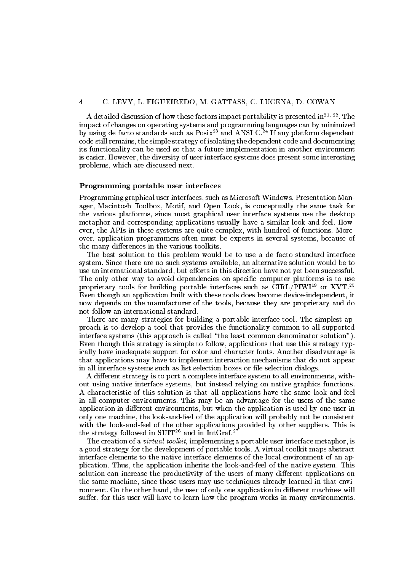#### $\overline{4}$ C- LEVY L- FIGUEIREDO M- GATTASS C- LUCENA D- COWAN

A detailed discussion of now these factors impact portability is presented in  $\sim$  . The impact of changes on operating systems and programming languages can by minimized by using de facto standards such as Posix<sup>-</sup> and ANSI C.<sup>--</sup> If any platform dependent code still remains, the simple strategy of isolating the dependent code and documenting its functionality can be used so that a future implementation in another environment is easier- However the diversity of user interface systems does present some interesting problems, which are discussed next.

### Programming portable user interfaces

Programming graphical user interfaces such as Microsoft Windows Presentation Man ager, Macintosh Toolbox, Motif, and Open Look, is conceptually the same task for the various platforms, since most graphical user interface systems use the desktop metaphor and corresponding applications usually have a similar lookandfeel- How every the APIs in the APIs in the APIs in the function  $\alpha$  in the function of functions-complex with  $\alpha$ over, application programmers often must be experts in several systems, because of the many differences in the various toolkits.

The best solution to this problem would be to use a de facto standard interface system- Since there are no such systems available an alternative solution would be to use an international standard, but efforts in this direction have not yet been successful. The only other way to avoid dependencies on specific computer platforms is to use proprietary tools for building portable interfaces such as  $CHRL/FLW1$  or  $AV1$ . Even though an application built with these tools does become device-independent, it now depends on the manufacturer of the tools, because they are proprietary and do not follow an international standard.

There are many strategies for building a portable interface tool- The simplest ap proach is to develop a tool that provides the functionality common to all supported interface systems (this approach is called "the least common denominator solution"). Even though this strategy is simple to follow applications that use this strategy typ ically have inadequate support for color and character fonts- Another disadvantage is that applications may have to implement interaction mechanisms that do not appear in all interface systems such as list selection boxes or file selection dialogs.

A different strategy is to port a complete interface system to all environments, without using native interface systems, but instead relying on native graphics functions. A characteristic of this solution is that all applications have the same lookandfeel in all computer environments- This may be an advantage for the users of the same application in different environments, but when the application is used by one user in only one machine, the look-and-feel of the application will probably not be consistent with the look in the state of the other supplications provided by others suppliers: suppliers as the strategy followed in SUIT and in IntGraf- 

The creation of a *virtual toolkit*, implementing a portable user interface metaphor, is a good strategy for the development of portable to the the theoretic maps abstracts. interface elements to the native interface elements of the local environment of an ap plication- Thus the application inherits the lookandfeel of the native system- This solution can increase the productivity of the users of many different applications on the same machine, since those users may use techniques already learned in that environment- On the other hand the user of only one application in dierent machines will suffer, for this user will have to learn how the program works in many environments.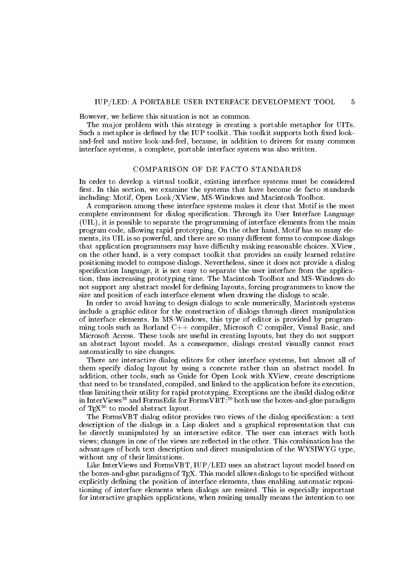### IUP/LED: A PORTABLE USER INTERFACE DEVELOPMENT TOOL

However, we believe this situation is not as common.

The major problem with this strategy is creating a portable metaphor for UITs. such a metaphor is dened by the IUP toolkit-and the IUP toolkit-supports both xed looking to and-feel and native look-and-feel, because, in addition to drivers for many common interface systems, a complete, portable interface system was also written.

## COMPARISON OF DE FACTO STANDARDS

In order to develop a virtual toolkit, existing interface systems must be considered rst- In this section we examine the systems that have become de facto standards including: Motif, Open Look/XView, MS-Windows and Macintosh Toolbox.

A comparison among these interface systems makes it clear that Motif is the most complete environment for dialog specication- Through its User Interface Language  $(UIL)$ , it is possible to separate the programming of interface elements from the main program code allowing rapid prototyping- On the other hand Motif has so many ele ments, its UIL is so powerful, and there are so many different forms to compose dialogs that application programmers may have diculty making reasonable choices- XView on the other hand, is a very compact toolkit that provides an easily learned relative positioning model to compose dialogs- Nevertheless since it does not provide a dialog specification language, it is not easy to separate the user interface from the application thus increasing prototyping time- The Macintosh Toolbox and MSWindows do not support any abstract model for defining layouts, forcing programmers to know the size and position of each interface element when drawing the dialogs to scale-

In order to avoid having to design dialogs to scale numerically Macintosh systems include a graphic editor for the construction of dialogs through direct manipulation of interface elements- In MSWindows this type of editor is provided by program ming tools such as Borland C++ compiler, Microsoft C compiler, Visual Basic, and access-to to the section of the useful in creating and the useful in creating layouts but they place they are an abstract in procession and the consequence  $\eta$  cannot react and react reaction reaction automatically to size changes.

There are interactive dialog editors for other interface systems, but almost all of them specify dialog layout by using a concrete rather than an abstract model- In addition, other tools, such as Guide for Open Look with XView, create descriptions that need to be translated, compiled, and linked to the application before its execution, in InterViews<sup>28</sup> and FormsEdit for FormsVBT:<sup>29</sup> both use the boxes-and-glue paradigm of  $Tr X^{30}$  to model abstract layout.

The FormsVBT dialog editor provides two views of the dialog specification: a text description of the dialogs in a Lisp dialect and a graphical representation that can be directly manipulated by an interactive editor- The user can interact with both views changes in one of the views are reected in the other- This combination has the advantages of both text description and direct manipulation of the WYSIWYG type without any of their limitations.

Like InterViews and FormsVBT, IUP/LED uses an abstract layout model based on the boxesandglue paradigm of TEX- This model allows dialogs to be specied without explicitly defining the position of interface elements, thus enabling automatic repositioning of interface elements when dialogs are resized- This is especially important for interactive graphics applications, when resizing usually means the intention to see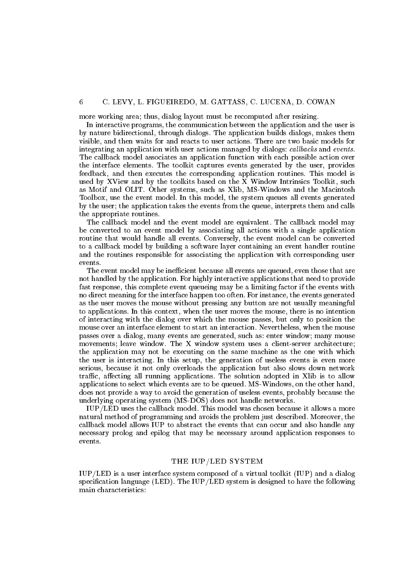#### $\ddot{6}$ C- LEVY L- FIGUEIREDO M- GATTASS C- LUCENA D- COWAN

more working area; thus, dialog layout must be recomputed after resizing.

In interactive programs, the communication between the application and the user is  $\alpha$  , application bidirectional through dialogs-  $\alpha$  applies the application building  $\alpha$ , then it and the complete and reactions to user actions-complete the complete models for an are two basic mod integrating an application with user actions managed by dialogs: *callbacks* and events. The callback model associates an application function with each possible action over the interface elements- The toolkit captures events generated by the user provides feedback and then executes the corresponding application routines- This model is used by XView and by the toolkits based on the X Window Intrinsics Toolkit, such as Motif and OLIT-distribution such as  $\mathcal{A}$ Toolbox use the event model- In this model the system queues all events generated by the user; the application takes the events from the queue, interprets them and calls the appropriate routines.

The callback model and the event model are equivalent- The callback model may be converted to an event model by associating all actions with a single application routine that would handle all events- Conversely the event model can be converted to a callback model by building a software layer containing an event handler routine and the routines responsible for associating the application with corresponding user events.

The event model may be inefficient because all events are queued, even those that are not handled by the application- For highly interactive applications that need to provide fast response, this complete event queueing may be a limiting factor if the events with no direct meaning for the interface happen too often- For instance the events generated as the user moves the mouse without pressing any button are not usually meaningful to applications- In this context when the user moves the mouse there is no intention of interacting with the dialog over which the mouse passes but only to position the mouse over an interface element to start an interaction- Nevertheless when the mouse passes over a dialog, many events are generated, such as: enter window; many mouse movements leave windows are the X windows a clients are architecture and movements are the contract of the S w the application may not be executing on the same machine as the one with which the user is the the generation of user the generation of users is event is even more than  $\sim$ serious, because it not only overloads the application but also slows down network trac aecting all running applications- The solution adopted in Xlib is to allow applications to select which events are to be queued- MSWindows on the other hand does not provide a way to avoid the generation of useless events, probably because the underlying operating system (MS-DOS) does not handle networks.

IUPLED uses the callback model- This model was chosen because it allows a more natural method of programming and avoids the problem just described-the color the problem  $\sim$ callback model allows IUP to abstract the events that can occur and also handle any necessary prolog and epilog that may be necessary around application responses to events.

# THE IUP/LED SYSTEM

 $IUP/LED$  is a user interface system composed of a virtual toolkit  $IUP$  and a dialog specication language LED- The IUPLED system is designed to have the following main characteristics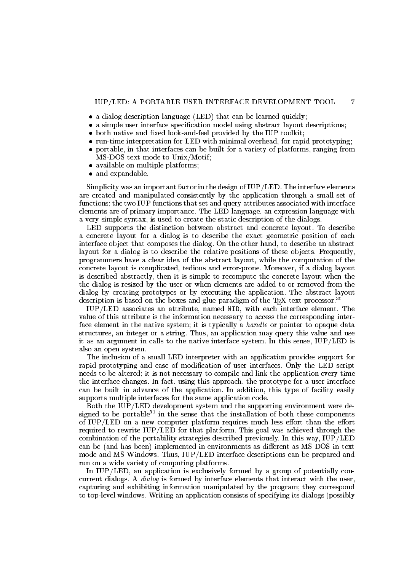### IUP/LED: A PORTABLE USER INTERFACE DEVELOPMENT TOOL

- $\bullet$  a dialog description language (LED) that can be learned quickly;
- a simple user interface specification model using abstract layout descriptions;
- $\bullet$  both native and fixed look-and-feel provided by the IUP toolkit:
- $\bullet$  run-time interpretation for LED with minimal overhead, for rapid prototyping;
- portable, in that interfaces can be built for a variety of platforms, ranging from  $MS-DOS$  text mode to  $Unix/Motif;$
- available on multiple platforms;
- $\bullet$  and expandable.

Simplicity was an important factor in the design of IUPLED- The interface elements are created and manipulated consistently by the application through a small set of functions the two IUP functions that set and query attributes associated with interface elements are of primary importance-called an expanding with improvements in  $\pi$ a very simple syntax, is used to create the static description of the dialogs.

LED supports the distinction between abstract and concrete layout- To describe a concrete layout for a dialog is to describe the exact geometric position of each interface ob ject that composes the dialog- the the composes the dialog- to describe an abstract. layout for a dialog is to describe the relative positions of these ob jects- Frequently programmers have a clear idea of the abstract layout while the computation of the concrete layout is complicated tedious and errorprone- Moreover if a dialog layout is described abstractly then it is simple to recompute the concrete layout when the the dialog is resized by the user or when elements are added to or removed from the dialog by creating prototypes or by executing the application-by executing the abstract layout layout layout l description is based on the boxes-and-glue paradigm of the TEX text processor.

IUPLED associates an attribute named WID with each interface element- The value of this attribute is the information necessary to access the corresponding inter face element in the native system; it is typically a handle or pointer to opaque data structures and integer or a string- manager and uppertures many query this value and use it as an argument in calls to the native interface system- In this sense IUPLED is also an open system.

The inclusion of a small LED interpreter with an application provides support for rapid prototyping and ease of modication of user interfaces- Only the LED script needs to be altered; it is not necessary to compile and link the application every time the interface changes- In fact using this approach the prototype for a user interface can be built in addition-of the addition-of-the advance of the application-of-this type of facility easily easi supports multiple interfaces for the same application code-

Both the IUP/LED development system and the supporting environment were designed to be portable<sup>31</sup> in the sense that the installation of both these components of  $IUP/LED$  on a new computer platform requires much less effort than the effort required to rewrite IUP LEE that platform-that  $\beta$  the that the that the through the  $\alpha$ combination of the portability strategies described previously- In this way IUPLED can be (and has been) implemented in environments as different as MS-DOS in text mode and model interface and model interface descriptions can be prepared and and run on a wide variety of computing platforms-

In  $IUP/LED$ , an application is exclusively formed by a group of potentially concurrent dialogs- A dialog is formed by interface elements that interact with the user capturing and exhibiting information manipulated by the program; they correspond to toplevel windows- Writing an application consists of specifying its dialogs possibly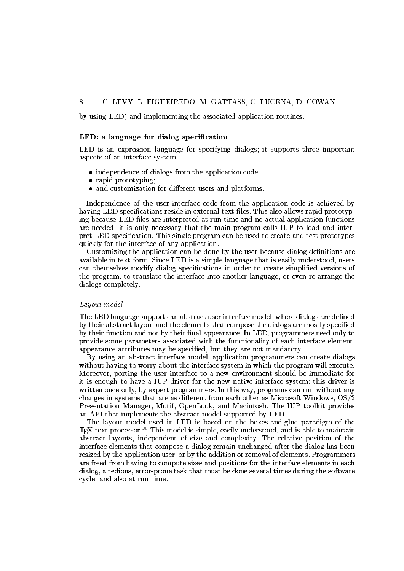#### 8 C- LEVY L- FIGUEIREDO M- GATTASS C- LUCENA D- COWAN

by using LED) and implementing the associated application routines.

# $LED: a language for dialog specification$

LED is an expression language for specifying dialogs; it supports three important aspects of an interface system

- independence of dialogs from the application code;
- rapid prototyping;
- and customization for different users and platforms.

Independence of the user interface code from the application code is achieved by having LED specications reside in external text les- This also allows rapid prototyp ing because LED files are interpreted at run time and no actual application functions are needed; it is only necessary that the main program calls IUP to load and interpret LED specication- This single program can be used to create and test prototypes quickly for the interface of any application-

Customizing the application can be done by the user because dialog definitions are available in text form-dimensional language that is easily understood users of  $\mathbf{A}$ can themselves modify dialog specifications in order to create simplified versions of the program, to translate the interface into another language, or even re-arrange the dialogs completely-

### Layout model

The LED language supports an abstract user interface model, where dialogs are defined by their abstract layout and the elements that compose the dialogs are mostly specified by their function and not by their nal appearance- In LED programmers need only to provide some parameters associated with the functionality of each interface element appearance attributes may be specified, but they are not mandatory.

By using an abstract interface model application programmers can create dialogs without having to worry about the interface system in which the program will execute. Moreover, porting the user interface to a new environment should be immediate for it is enough to have a IUP driver for the new native interface system; this driver is written on contract programmers- in this way programmers- in this way programmers- in this way program on the o changes in systems that are as different from each other as Microsoft Windows,  $OS/2$ Presentation Manager Motif OpenLook and Macintosh- The IUP toolkit provides an API that implements the abstract model supported by LED-

The layout model used in LED is based on the boxes-and-glue paradigm of the TEX text processor. This model is simple, easily understood, and is able to maintain abstract layouts independent of size and complexity- The relative position of the interface elements that compose a dialog remain unchanged after the dialog has been resized by the application user or by the addition or removal of elements- Programmers are freed from having to compute sizes and positions for the interface elements in each dialog, a tedious, error-prone task that must be done several times during the software cycle, and also at run time.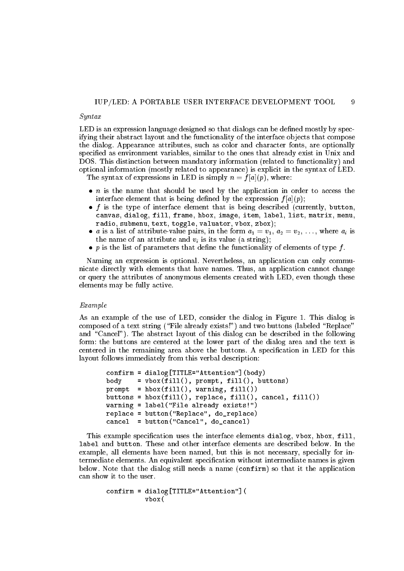#### IUP/LED: A PORTABLE USER INTERFACE DEVELOPMENT TOOL  $\overline{Q}$

### Syntax

LED is an expression language designed so that dialogs can be defined mostly by specif ying their abstract layout and the functionality of the interface objects that compose the dialog- Appearance attributes such as color and character fonts are optionally specified as environment variables, similar to the ones that already exist in Unix and DOS- This distinction between mandatory information related to functionality and optional information (mostly related to appearance) is explicit in the syntax of LED.

The syntax of expressions in LED is simply  $n = f[a](p)$ , where:

- $n$  is the name that should be used by the application in order to access the interface element that is being defined by the expression  $f[a](p)$ ;
- $\bullet$  f is the type of interface element that is being described (currently, button. canvas, dialog, fill, frame, hbox, image, item, label, list, matrix, menu, radio, submenu, text, toggle, valuator, vbox, zbox);
- *a* is a list of attribute-value pairs, in the form  $a_1 = v_1, a_2 = v_2, \ldots$ , where  $a_i$  is the name of an attribute and  $v_i$  is its value (a string);
- $\bullet$  p is the list of parameters that define the functionality of elements of type  $f$ .

Naming an expression is optional- Nevertheless an application can only commu nicate directly with elements that have names- Thus an application cannot change or query the attributes of anonymous elements created with LED even though these elements may be fully active-

### Example

As an example of the use of LED consider the dialog in Figure - This dialog is composed of a text string ("File already exists!") and two buttons (labeled "Replace" and cancel-ly can be described in the following the following the following the following form: the buttons are centered at the lower part of the dialog area and the text is centered in the remaining area above the buttons-the buttons-the components-oflayout follows immediately from this verbal description

```
confirm  dialog Times  dialog the second with the second and the second second that the second second second s
body = vbox(fill(), prompt, fill(), buttons)prompt = hbox(fill(), warning, fill())buttons = hbox(fill(), replace, fill(), cancel, fill())
warning all the contract of the contract of the contract of the contract of the contract of the contract of the
replace-but the contract of the contract of the contract of the contract of the contract of the contract of the
cancel-button-button-button-button-button-button-button-button-button-button-button-button-button-button-butto
```
This example specification uses the interface elements dialog, vbox, hbox,  $fill$ , example, all elements have been named, but this is not necessary, specially for intermediate elements- An equivalent specication without intermediate names is given below- Note that the dialog still needs a name confirm so that it the application can show it to the user.

confirm dialogTITLE- vbox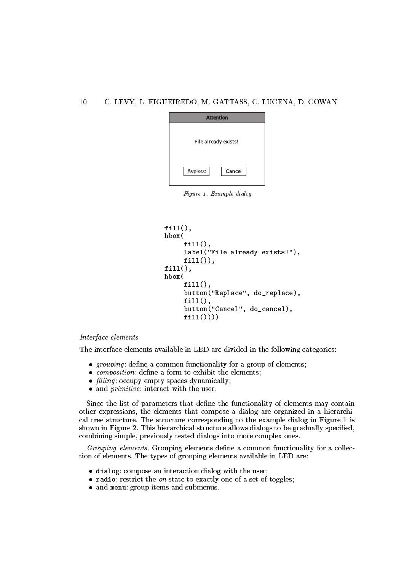

Figure 
 Example dialog

```
fill().
hbox
      fill()label-
File already exists-

      fill(),
fill(),
hbox
       fill(),
       but the place-but the place-but of the place-but is a place-but of the place-but is a place-but in the place-b
      fill().
       button-
Cancel-
 docancel
      fill()))
```
# Interface elements

The interface elements available in LED are divided in the following categories

- $\bullet$  grouping: define a common functionality for a group of elements;
- $\bullet$  composition: define a form to exhibit the elements;
- filling: occupy empty spaces dynamically;
- $\bullet$  and  $primitive$ : interact with the user.

Since the list of parameters that define the functionality of elements may contain other expressions the elements that compose a dialog are organized in a hierarchi cal trees structure corresponding to the example of the example dialog in Figure 1 and 2 and shown in Figure - This hierarchical structure allows dialogs to be gradually specied combining simple, previously tested dialogs into more complex ones.

Grouping elements. Grouping elements define a common functionality for a collection of elements- The types of grouping elements available in LED are

- $\bullet$  dialog: compose an interaction dialog with the user;
- radio: restrict the on state to exactly one of a set of toggles;
- and menu: group items and submenus.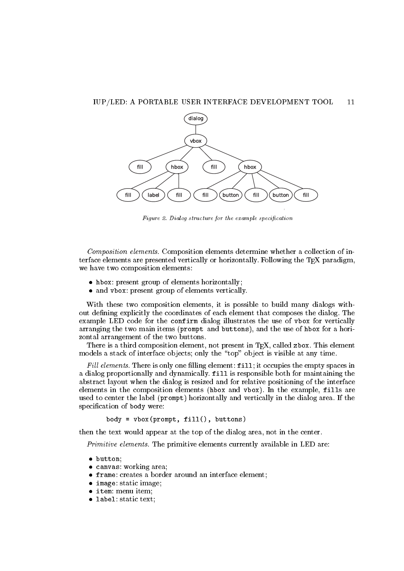

Figure 2. Dialog structure for the example specification

Composition elements Composition elements determine whether a collection of in terface elements are presented vertically or horizontally- Following the TEX paradigm we have two composition elements

- $\bullet$  hbox: present group of elements horizontally;
- and vbox: present group of elements vertically.

With these two composition elements, it is possible to build many dialogs without dening explicitly the coordinates of each element that composes the dialog- The example LED code for the confirm dialog illustrates the use of vbox for vertically arranging the two main items (prompt and buttons), and the use of hbox for a horizontal arrangement of the two buttons-

There is a third composition element in this element in TEX called  $\mathbb{E}$  called zbox-alled zbox-alled zboxmodels a stack of interface objects; only the "top" object is visible at any time.

Fill elements. There is only one filling element: fill; it occupies the empty spaces in a dialog proportionally and dynamically- fill is responsible both for maintaining the abstract layout when the dialog is resized and for relative positioning of the interface elements in the composition elements hbox and vbox- In the example fills are used to center the label prompt horizontally and vertically in the dialog area- If the specification of body were:

body =  $vbox(prompt, fill()$ , buttons)

then the text would appear at the top of the dialog area, not in the center.

Primitive elements. The primitive elements currently available in LED are:

- button:
- canvas: working area;
- **frame**: creates a border around an interface element:
- $\bullet$  image: static image;
- $\bullet$  item: menu item;
- label: static text;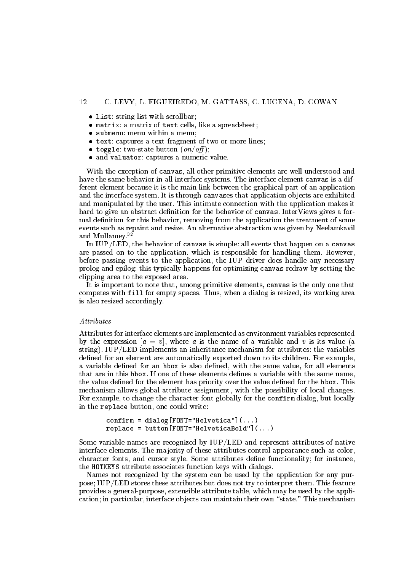#### 12 C- LEVY L- FIGUEIREDO M- GATTASS C- LUCENA D- COWAN

- $\bullet$  list: string list with scrollbar;
- $\bullet$  matrix: a matrix of text cells, like a spreadsheet;
- $\bullet$  submenu: menu within a menu;
- $\bullet$  text: captures a text fragment of two or more lines;
- toggle: two-state button  $(on/off)$ ;
- and valuator: captures a numeric value.

With the exception of canvas, all other primitive elements are well understood and have the same behavior in all interface systems- The interface element canvas is a dif ferent element because it is the main link between the graphical part of an application and the interface system- It is through canvases that application ob jects are exhibited and manipulated by the user-connection connection with the application makes it is application makes it hard to give an abstract denition for the behavior of canvas- InterViews gives a for mal definition for this behavior, removing from the application the treatment of some events such as repaint and resize- An alternative abstraction was given by Neelamkavil and Mullamey-

In  $IUP/LED$ , the behavior of canvas is simple: all events that happen on a canvas are passed on to the application which is responsible for handling them- However before passing events to the application, the IUP driver does handle any necessary prolog and epilog; this typically happens for optimizing canvas redraw by setting the clipping area to the exposed area-

It is important to note that, among primitive elements, canvas is the only one that competes with fill for empty spaces- Thus when a dialog is resized its working area is also resized accordingly-

### Attributes

Attributes for interface elements are implemented as environment variables represented by the expression  $[a = v]$ , where a is the name of a variable and v is its value (a string- IUP LE impression and implements and international mechanism for attributes the variables dened for an element are automatically exported down to its children- For example a variable defined for an hbox is also defined, with the same value, for all elements that are in this hbox- If one of these elements denes a variable with the same name the value dened for the element has priority over the value dened for the hbox- This mechanism allows global attribute assignment, with the possibility of local changes. For example, to change the character font globally for the confirm dialog, but locally in the replace button, one could write:

```
confirm  dialogFONT-
Helvetica-

replace but the place of the contract of \mathcal{L}
```
Some variable names are recognized by  $IUP/LED$  and represent attributes of native interface elements- The ma jority of these attributes control appearance such as color character fonts and cursor style- Some attributes dene functionality for instance the HOTKEYS attribute associates function keys with dialogs-

Names not recognized by the system can be used by the application for any pur pose IUPLED stores these attributes but does not try to interpret them- This feature provides a general-purpose, extensible attribute table, which may be used by the application in particular interface ob jects can maintain their own state- This mechanism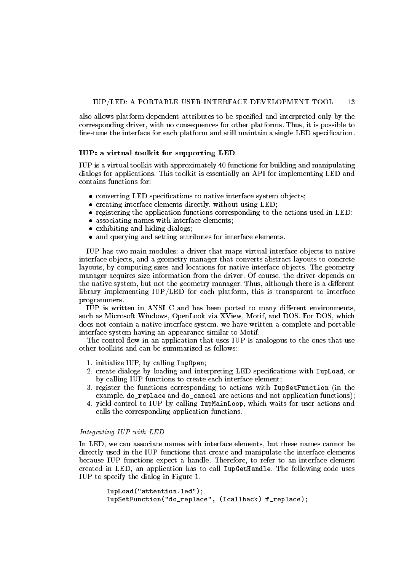also allows platform dependent attributes to be specified and interpreted only by the corresponding driver with no consequences for other platforms- Thus it is possible to fine-tune the interface for each platform and still maintain a single LED specification.

### IUP: a virtual toolkit for supporting LED

IUP is a virtual toolkit with approximately functions for building and manipulating dialogs for applications- This toolkit is essentially an API for implementing LED and contains functions for

- converting LED specifications to native interface system objects;
- $\bullet$  creating interface elements directly, without using LED;
- $\bullet$  registering the application functions corresponding to the actions used in LED;
- associating names with interface elements;
- exhibiting and hiding dialogs;
- and querying and setting attributes for interface elements.

IUP has two main modules: a driver that maps virtual interface objects to native interface objects, and a geometry manager that converts abstract layouts to concrete layouts by computing sizes and locations for native interface ob jects- The geometry manager acquires size information from the driver- Of course the driver depends on the native system but not the geometry manager- Thus although there is a dierent library implementing  $IUP/LED$  for each platform, this is transparent to interface programmers-

IUP is written in ANSI C and has been ported to many different environments, such as Microsoft Windows OpenLook via XView Motif and DOS- For DOS which does not contain a native interface system, we have written a complete and portable interface system having an appearance similar to Motif-

The control flow in an application that uses  $IUP$  is analogous to the ones that use other toolkits and can be summarized as follows:

- $\mathbf{1}$  and  $\mathbf{1}$  by calling Iupon Iupon Iupon Iupon Iupon Iupon Iupon Iupon Iupon Iupon Iupon Iupon Iupon Iupon Iupon Iupon Iupon Iupon Iupon Iupon Iupon Iupon Iupon Iupon Iupon Iupon Iupon Iupon Iupon Iupon Iupon Iu
- create dialogs by loading and interpreting LED specications with IupLoad or by calling IUP functions to create each interface element
- register the functions corresponding to actions with IupSetFunction in the example,  $do$ <sub>replace and  $do$ <sub>cancel</sub> are actions and not application functions);</sub>
- yield control to IUP by calling IupMainLoop which waits for user actions and calls the corresponding application functions-

### Integrating IUP with LED

In LED, we can associate names with interface elements, but these names cannot be directly used in the IUP functions that create and manipulate the interface elements because IUP functions expect a handle- Therefore to refer to an interface element created in LED an application has to call IupGetHandle- The following code uses IUP to specify the dialog in Figure  $1$ .

```
IupLoad-
attention	led-

doreplace-be-back frequency-be-back frequency-be-back frequency-be-back frequency-be-back frequency-be-back frequency-be-back frequency-be-back frequency-be-back frequency-be-back frequency-be-back frequency-be-back freque
```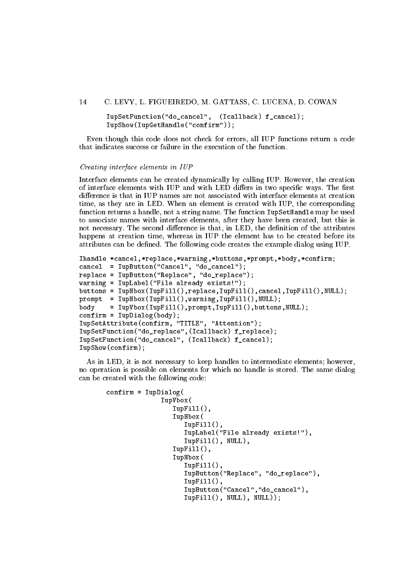#### $14$ C- LEVY L- FIGUEIREDO M- GATTASS C- LUCENA D- COWAN

IupSetFunction-docancel- Icallback fcancel IupShowIupGetHandle-confirm-

Even though this code does not check for errors all IUP functions return a code that indicates success or failure in the execution of the function.

### Creating interface elements in IUP

Interface elements can be created dynamically by calling IUP- However the creation of interface elements with IUP and with LED diers in the species ways- the miss difference is that in IUP names are not associated with interface elements at creation time as they are in LED- When an element is created with IUP the corresponding function returns a handle not a string name-in-may be used not a string name-in-may be used to  $\mathbf{u}$ to associate names with interface elements, after they have been created, but this is not necessary-the second dierence is that in LED the denition of the attributes is that in LED the attributes happens at creation time, whereas in IUP the element has to be created before its attributes can be dened- the following code creates the example dialog using IUP-

```
Ihandle *cancel,*replace,*warning,*buttons,*prompt,*body,*confirm;
cancel-leader in the cancel-leader in the cancel-leader in the cancel-leader in the cancel-leader in the cancel-
replace-be-based and the contract of the contract of the contract of the contract of the contract of the contract of the contract of the contract of the contract of the contract of the contract of the contract of the contr
rning in Iuplica also also already the state of the state of the state of the state of the state of the state o
buttons = IupHbox(IupFill(), replace, IupFill(), cancel, IupFill(), NULL);
prompt = IupHbox(IupFill(), warning, IupFill(), NULL);
body = IupVbox(IupFill() , prompt, IupFill(), buttons, NULL);confirm = IupDialog(body);Iups - Attention- Iups - Attention- Iups - Attention- Iups - Attention- Iups - Attention- Iups - Attention- Iu
IupSetFunction-
doreplace-
Icallback freplace
docancel-back for the concellent factor of the concellent factor of the concellent factor of the concellent factor of the concellent factor of the concellent factor of the concellent factor of the concellent factor of the 
IupShow(confirm);
```
As in LED, it is not necessary to keep handles to intermediate elements; however, no operation is possible on elements for which no handle is stored- The same dialog can be created with the following code

```
confirm = IupDialog(IupVbox
                IupFill(),
                IupHbox
                   IupFill(),
                   IupLabel-
File already exists-

                   IupFill(), NULL),
                IupFill(),
                IupHbox
                   IupFill().
                   IupButton-
Replace-
 -
doreplace-

                   IupFill().
                   IupButton-
Cancel-
-
docancel-

                   IupFill(), NULL), NULL));
```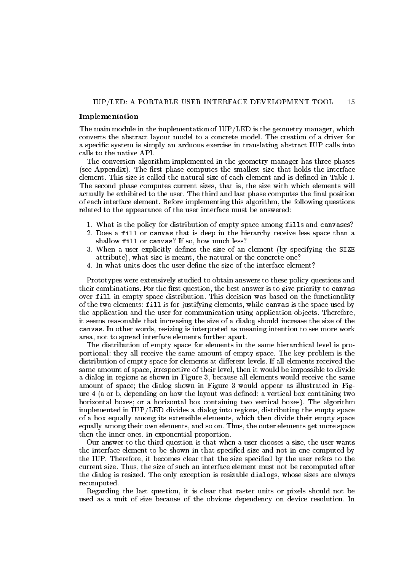#### IUP/LED: A PORTABLE USER INTERFACE DEVELOPMENT TOOL 15

### Implementation

The main module in the implementation of  $IUP/LED$  is the geometry manager, which converts the abstract in the model to a concrete model-distinction of a driver for a driver for a specific system is simply an arduous exercise in translating abstract IUP calls into calls to the native API.

The conversion algorithm implemented in the geometry manager has three phases see Appendix- The rst phase computes the smallest size that holds the interface The second phase computes current sizes, that is, the size with which elements will actually be exhibited to the user-third and last phase computes the nal position of the nal position of the na of each interface element-implement-implementing this algorithm the following  $\mathbf{f}$ related to the appearance of the user interface must be answered

- what is the point for distribution of empty space among films and canvastic  $\sim$
- Does a fill or canvas that is deep in the hierarchy receive less space than a shallow fill or canvas? If so, how much less?
- When a user explicitly denes the size of an element by specifying the SIZE attribute), what size is meant, the natural or the concrete one?
- 

Prototypes were extensively studied to obtain answers to these policy questions and their combinations- For the rst question the best answer is to give priority to canvas over fill in empty space distribution- This decision was based on the functionality of the two elements fill is for justifying elements while canvas is the space used by the application and the user for communication using application ob jects- Therefore it seems reasonable that increasing the size of a dialog should increase the size of the canvas- In other words resizing is interpreted as meaning intention to see more work area, not to spread interface elements further apart.

The distribution of empty space for elements in the same hierarchical level is pro portional they all receive the same amount of empty space- The key problem is the distribution of empty space for elements at dierent levels- If all elements received the same amount of space, irrespective of their level, then it would be impossible to divide a dialog in regions as shown in Figure because all elements would receive the same amount of space the dialog shown in Figure would appear as illustrated in Fig ure 4 (a or b, depending on how the layout was defined: a vertical box containing two horizontal boxes or a horizontal box containing two vertical boxes- The algorithm implemented in  $IUP/LED$  divides a dialog into regions, distributing the empty space of a box equally among its extensible elements which then divide their empty space equally among their own elements and so on- Thus the outer elements get more space then the inner ones, in exponential proportion.

Our answer to the third question is that when a user chooses a size, the user wants the interface element to be shown in that specified size and not in one computed by the IUP-Therefore it becomes clear that the size species species are the size to the current size- Thus the size of such an interface element must not be recomputed after the dialog is resized- The only exception is resizable dialogs whose sizes are always recomputed.

Regarding the last question, it is clear that raster units or pixels should not be used as a unit of size because of the obvious dependency on device resolution- In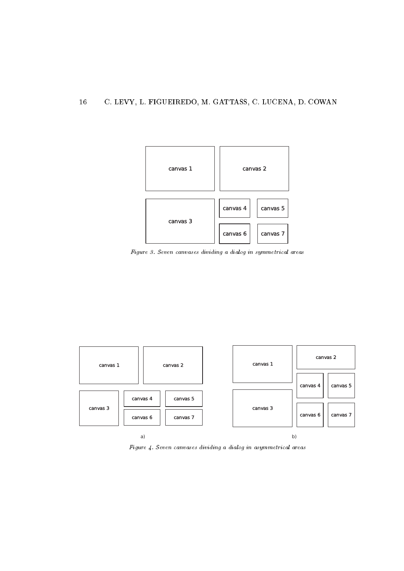

Figure 
 Seven canvases dividing a dialog in symmetrical areas



Figure 4. Seven canvases dividing a dialog in asymmetrical areas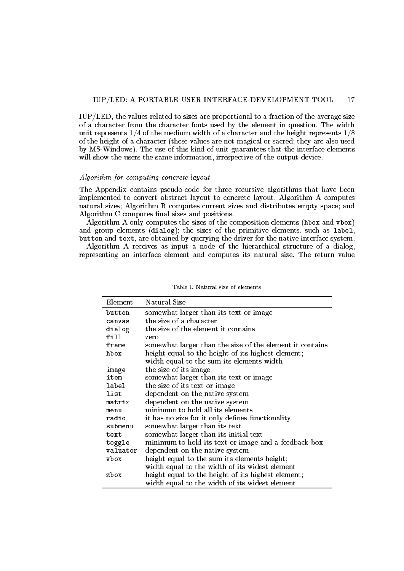$IUP/LED$ , the values related to sizes are proportional to a fraction of the average size of a character from the character fonts used by the element in question- The width unit represents  $1/4$  of the medium width of a character and the height represents  $1/8$ of the height of a character (these values are not magical or sacred; they are also used by MSWindows- The use of this kind of unit guarantees that the interface elements will show the users the same information, irrespective of the output device.

# Algorithm for computing concrete layout

The Appendix contains pseudo-code for three recursive algorithms that have been implemented to convert abstract layout to concrete layout- Algorithm A computes natural sizes; Algorithm B computes current sizes and distributes empty space; and Algorithm C computes final sizes and positions.

Algorithm A only computes the sizes of the composition elements (hbox and vbox) and group elements (dialog); the sizes of the primitive elements, such as label, button and text, are obtained by querying the driver for the native interface system.

Algorithm A receives as input a node of the hierarchical structure of a dialog representing an interface element and computes its natural size- The return value

| Element  | Natural Size                                             |
|----------|----------------------------------------------------------|
| button   | somewhat larger than its text or image                   |
| canvas   | the size of a character                                  |
| dialog   | the size of the element it contains                      |
| fill     | zero                                                     |
| frame    | somewhat larger than the size of the element it contains |
| hbox     | height equal to the height of its highest element;       |
|          | width equal to the sum its elements width                |
| image    | the size of its image                                    |
| item     | somewhat larger than its text or image                   |
| label    | the size of its text or image                            |
| list     | dependent on the native system                           |
| matrix   | dependent on the native system                           |
| menu     | minimum to hold all its elements                         |
| radio    | it has no size for it only defines functionality         |
| submenu  | somewhat larger than its text                            |
| text     | somewhat larger than its initial text                    |
| toggle   | minimum to hold its text or image and a feedback box     |
| valuator | dependent on the native system                           |
| vbox     | height equal to the sum its elements height;             |
|          | width equal to the width of its widest element           |
| zbox     | height equal to the height of its highest element;       |
|          | width equal to the width of its widest element           |

Table I. Natural size of elements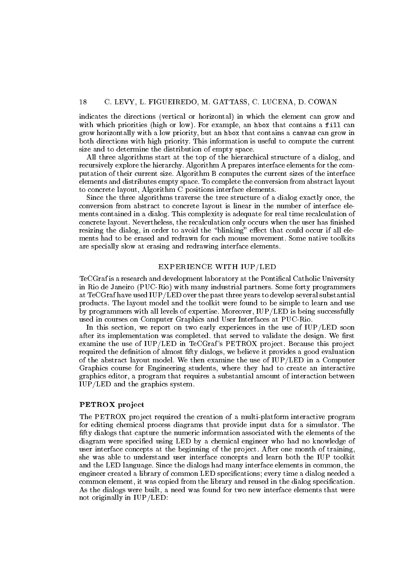indicates the directions (vertical or horizontal) in which the element can grow and with which priorities high or low-place dimensional cancel contains a filled cancel grow horizontally with a low priority but an hbox that contains a canvas can grow in both directions with high priority- with information is useful to compute the current size and to determine the distribution of empty space.

All three algorithms start at the top of the hierarchical structure of a dialog, and recursively explore the hierarchy- Algorithm A prepares interface elements for the com putation of their current size- Algorithm B computes the current sizes of the interface elements and distributes empty space- To complete the conversion from abstract layout to concrete layout, Algorithm C positions interface elements.

Since the three algorithms traverse the tree structure of a dialog exactly once the conversion from abstract to concrete layout is linear in the number of interface ele ments contained in a dialog- This complexity is adequate for real time recalculation of concrete layout-definition only occurs when the recalculation only occurs when the user has nished the user has nish resizing the dialog, in order to avoid the "blinking" effect that could occur if all eleare specially slow at erasing and redrawing interface elements.

# EXPERIENCE WITH IUP/LED

TeCGraf is a research and development laboratory at the Pontifical Catholic University in Rio de Janeiro PUCRio with many industrial partners- Some forty programmers at TeCGraf have used  $IUP/LED$  over the past three years to develop several substantial products-toolkit model and the layout model and the toolkit were found to the toolkit were found to learn and by programmers with all levels of expertise- Moreover IUPLED is being successfully used in courses on Computer Graphics and User Interfaces at PUC-Rio.

In this section, we report on two early experiences in the use of  $IUP/LED$  soon after its implementation was completed that served to validate the design- the designexamine the use of IUPLED in TeCGraf s PETROX pro ject- Because this pro ject required the definition of almost fifty dialogs, we believe it provides a good evaluation of the abstract layout model- We then examine the use of IUPLED in a Computer Graphics course for Engineering students, where they had to create an interactive graphics editor a program that requires a substantial amount of interaction between  $IUP/LED$  and the graphics system.

# PETROX project

The PETROX project required the creation of a multi-platform interactive program for editing chemical process diagrams that provide input data for a simulator- The fty dialogs that capture the numeric information associated with the elements of the diagram were specified using LED by a chemical engineer who had no knowledge of user interface concepts at the beginning of the pro ject- After one month of training she was able to understand user interface concepts and learn both the IUP toolkit and the LED language- Since the dialogs had many interface elements in common the engineer created a library of common LED specifications; every time a dialog needed a common element, it was copied from the library and reused in the dialog specification. As the dialogs were built, a need was found for two new interface elements that were not originally in  $IUP/LED$ :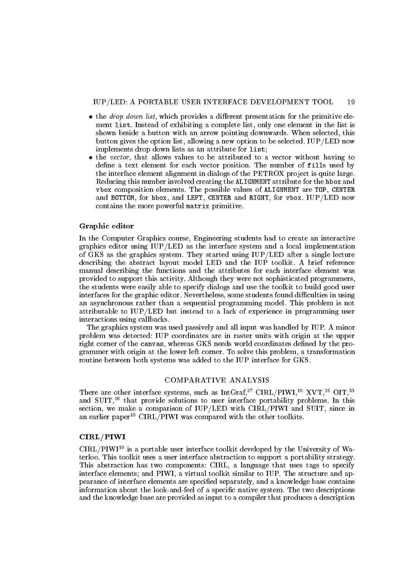- $\bullet$  the *drop down list*, which provides a different presentation for the primitive element as a contract is included a complete may find the list in the list on the list shown beside a button with an arrow pointing downwards- When selected this button gives the option list allowing a new options to be selected-planets. implements drop down lists as an attribute for list;
- the vector, that allows values to be attributed to a vector without having to dene a text element for each vector position- The number of fills used by the interface element alignment in dialogs of the PETROX project is quite large. Reducing this number involved creating the ALIGNMENT attribute for the hbox and values of ALIGNMENT are the possible values of ALIGNMENT are TOP CENTER and ALIGNMENT are TOP CENTER and ALIGN and BOTTOM for health for health for health for variable states and right for variable states and right for variable contains the more powerful matrix primitive-

# Graphic editor

In the Computer Graphics course, Engineering students had to create an interactive graphics editor using  $IUP/LED$  as the interface system and a local implementation of GKS as the graphics system- They started using IUPLED after a single lecture describing the abstract layout model LED and the IUP toolkit- A brief reference manual describing the functions and the attributes for each interface element was provided to support this activity- Although they were not sophisticated programmers the students were easily able to specify dialogs and use the toolkit to build good user interfaces for the graphic editor- Nevertheless some students found diculties in using an asynchronous rather than a sequential programming model- This problem is not attributable to  $IUP/LED$  but instead to a lack of experience in programming user interactions using callbacks.

The graphics system was used passively and all input was handled by IUP- A minor problem was detected IUP coordinates are in raster units with origin at the upper right corner of the canvas, whereas GKS needs world coordinates defined by the programmer with origin at the lower left corner-of-lower problem problem a transformation routine between both systems was added to the IUP interface for GKS-

# COMPARATIVE ANALYSIS

There are other interface systems, such as  $IntGraf<sub>1</sub><sup>27</sup> CIRL/PIWI<sub>1</sub><sup>19</sup> XVI<sub>1</sub><sup>25</sup> OTT<sub>1</sub><sup>33</sup>$ and SUIT, that provide solutions to user interface portability problems. In this section, we make a comparison of  $IUP/LED$  with  $CIRL/PIWI$  and  $SUIT$ , since in an earlier paper<sup>19</sup> CIRL/PIWI was compared with the other toolkits.

### CIRL-PIWI

 $CIRL/PIWI<sup>19</sup>$  is a portable user interface toolkit developed by the University of Waterloo- This toolkit uses a user interface abstraction to support a portability strategy-This abstraction has two components: CIRL, a language that uses tags to specify interface elements and PIWI a virtual toolkit similar to IUP- The structure and ap pearance of interface elements are specified separately, and a knowledge base contains information about the lookandfeel of a specic native system- The two descriptions and the knowledge base are provided as input to a compiler that produces a description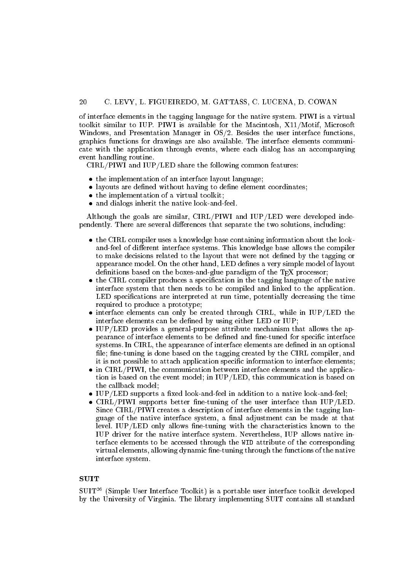<u> The interface the tagging language for the the system-the systems in the system</u> toolkit similar to IIUP-1 is available for the Machinese for the Microsoft Microsoft Microsoft Microsoft Micro with the state of the user interface  $\mathbb{R}^n$  in  $\mathbb{R}^n$  is the user interface functions  $\mathbb{R}^n$ graphics functions for drawings are also available-communications communications communications cate with the application through events, where each dialog has an accompanying event handling routine.

 $CIRL/PIWI$  and  $IUP/LED$  share the following common features:

- the implementation of an interface layout language;
- layouts are defined without having to define element coordinates;
- the implementation of a virtual toolkit;
- and dialogs inherit the native look-and-feel.

Although the goals are similar,  $CIRL/PIWI$  and  $IUP/LED$  were developed independently-there are several dierences that separate the two solutions including  $\mathcal{C}$ 

- the CIRL compiler uses a knowledge base containing information about the look andfeel of dierent interface systems- This knowledge base allows the compiler to make decisions related to the layout that were not dened by the tagging or appearance model- On the other hand LED denes a very simple model of layout definitions based on the boxes-and-glue paradigm of the  $T_{EX}$  processor;
- the CIRL compiler produces a specification in the tagging language of the native interface system that then needs to be compiled and linked to the application-LED specifications are interpreted at run time, potentially decreasing the time required to produce a prototype
- $\bullet$  interface elements can only be created through CIRL, while in IUP/LED the interface elements can be defined by using either LED or IUP;
- $\bullet$  IUP/LED provides a general-purpose attribute mechanism that allows the appearance of interface elements to be defined and fine-tuned for specific interface systems- In CIRL the appearance of interface elements are dened in an optional file; fine-tuning is done based on the tagging created by the CIRL compiler, and it is not possible to attach application specific information to interface elements:
- $\bullet$  in CIRL/PIWI, the communication between interface elements and the application is based on the event model; in  $IUP/LED$ , this communication is based on the callback model
- $\bullet$  IUP/LED supports a fixed look-and-feel in addition to a native look-and-feel;
- CIRL/PIWI supports better fine-tuning of the user interface than  $IUP/LED$ . Since CIRL/PIWI creates a description of interface elements in the tagging language of the native interface system, a final adjustment can be made at that level- IUPLED only allows netuning with the characteristics known to the ... Interface interface interfaces systems it thermometer, all the models in the second terface elements to be accessed through the WID attribute of the corresponding virtual elements, allowing dynamic fine-tuning through the functions of the native interface system.

# SUIT

 $SUIT<sup>26</sup>$  (Simple User Interface Toolkit) is a portable user interface toolkit developed by the University of Virginia- The library implementing SUIT contains all standard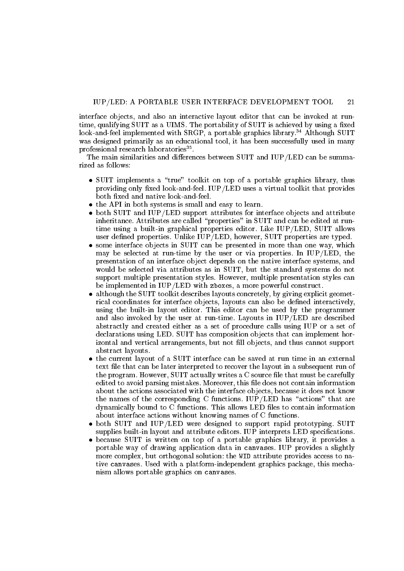interface objects, and also an interactive layout editor that can be invoked at runtime qualifying SUIT as a UIMS- of SUIT is active to SUIT is a very subset of  $\mu$  and  $\mu$  is active look-and-leel implemented with SRGP, a portable graphics library. Although SUIT was designed primarily as an educational tool, it has been successfully used in many professional research laboratories
 -

The main similarities and differences between SUIT and  $IUP/LED$  can be summarized as follows

- SUIT implements a "true" toolkit on top of a portable graphics library, thus providing only xed lookandfeel- IUPLED uses a virtual toolkit that provides both fixed and native look-and-feel.
- the API in both systems is small and easy to learn.
- $\bullet$  both SUIT and IUP/LED support attributes for interface objects and attribute inheritance- Attributes are called properties in SUIT and can be edited at run time using a built in graphical properties editor-built allows allows and the suit  $\alpha$ user dened properties- some III properties- in the properties are typed-
- some interface objects in SUIT can be presented in more than one way, which may be selected at runtime by the user or via properties- In IUPLED the presentation of an interface ob ject depends on the native interface systems and would be selected via attributes as in SUIT, but the standard systems do not support multiple presentation styles- However multiple presentation styles can be implemented in  $IUP/LED$  with zboxes, a more powerful construct.
- $\bullet$  although the SUIT toolkit describes layouts concretely, by giving explicit geometrical coordinates for interface objects, layouts can also be defined interactively, using the built in all, and this editor-builting by the programmer and programmers of the programmer of the pro and and the user  $\mathcal{L}_{\mathcal{A}}$  are described are user and in IUPLED are described are described as abstractly and created either as a set of procedure calls using IUP or a set of ations using LED- is the composition of  $\mathcal{L}$  is the implement of  $\mathcal{L}$ izontal and vertical arrangements, but not fill objects, and thus cannot support abstract layouts.
- the current layout of a SUIT interface can be saved at run time in an external text file that can be later interpreted to recover the layout in a subsequent run of the program- However SUIT actually writes a C source le that must be carefully edited to avoid parsing mistakes- Moreover this le does not contain information about the actions associated with the interface objects, because it does not know the names of the corresponding  $\mathbf{I}$ dynamically bound to C functions- This allows LED les to contain information about interface actions without knowing names of C functions-
- both SUIT and IUPLED were designed to support rapid prototyping- 2002 supplies builtin layout and attribute editors- IUP interprets LED specications-
- because SUIT is written on top of a portable graphics library it provides a portable way of drawing application data in canvases- IUP provides a slightly more complex, but orthogonal solution: the WID attribute provides access to native canvastige can variety a platforming the platforming package this mechanical this mechanical contribution nism allows portable graphics on canvases-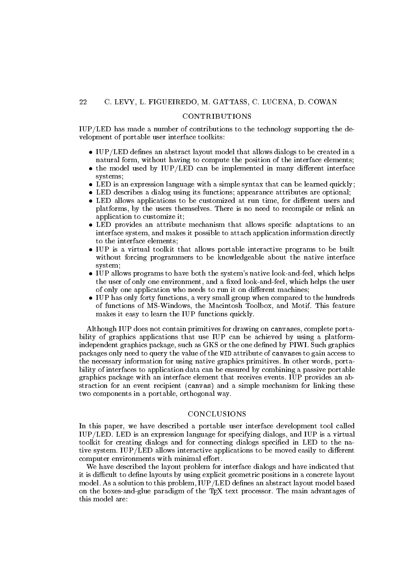### C- LEVY L- FIGUEIREDO M- GATTASS C- LUCENA D- COWAN

# **CONTRIBUTIONS**

 $IUP/LED$  has made a number of contributions to the technology supporting the development of portable user interface toolkits

- $\bullet$  IUP/LED defines an abstract layout model that allows dialogs to be created in a natural form, without having to compute the position of the interface elements:
- $\bullet$  the model used by IUP/LED can be implemented in many different interface systems
- LED is an expression language with a simple syntax that can be learned quickly;
- $\bullet$  LED describes a dialog using its functions; appearance attributes are optional;
- LED allows applications to be customized at run time, for different users and platforms by the users themselves- There is no need to recompile or relink an application to customize it
- LED provides an attribute mechanism that allows specific adaptations to an interface system, and makes it possible to attach application information directly to the interface elements
- IUP is a virtual toolkit that allows portable interactive programs to be built without forcing programmers to be knowledgeable about the native interface system
- IUP allows programs to have both the system's native look-and-feel, which helps the user of only one environment, and a fixed look-and-feel, which helps the user of only one application who needs to run it on different machines;
- IUP has only forty functions a very small group when compared to the hundreds of functions of MSWindows the Macintosh Toolbox and Motif- This feature makes it easy to learn the IUP functions quickly-

Although IUP does not contain primitives for drawing on canvases complete porta bility of graphics applications that use IUP can be achieved by using a platform independent graphics package such as GKS or the one dened by PIWI- Such graphics packages only need to query the value of the WID attribute of canvases to gain access to the necessary information for using native graphics primitives- In other words porta bility of interfaces to application data can be ensured by combining a passive portable graphics package with an interface element that receives events- IUP provides an ab straction for an event recipient (canvas) and a simple mechanism for linking these two components in a portable, orthogonal way.

# CONCLUSIONS

In this paper, we have described a portable user interface development tool called IUPLED- LED is an expression language for specifying dialogs and IUP is a virtual toolkit for creating dialogs and for connecting dialogs specified in LED to the native system- IUPLED allows interactive applications to be moved easily to dierent computer environments with minimal effort.

We have described the layout problem for interface dialogs and have indicated that it is difficult to define layouts by using explicit geometric positions in a concrete layout model- As a solution to this problem IUPLED denes an abstract layout model based on the boxesandglue paradigm of the TEX text processor- The main advantages of this model are

 $22$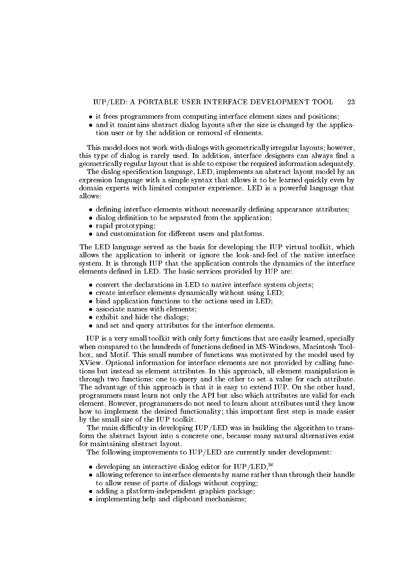- it frees programmers from computing interface element sizes and positions;
- and it maintains abstract dialog layouts after the size is changed by the applica tion user or by the addition or removal of elements.

This model does not work with dialogs with geometrically irregular layouts; however, this type of dialog is rarely used- additional can always not always not always not always not a geometrically regular layout that is able to expose the required information adequately-

The dialog specification language, LED, implements an abstract layout model by an expression language with a simple syntax that allows it to be learned quickly even by at limited the computer experience is a powerful language that  $\mu$  is a powerful language that the allows

- $\bullet$  defining interface elements without necessarily defining appearance attributes;
- $\bullet$  dialog definition to be separated from the application;
- $\bullet$  rapid prototyping;
- $\bullet$  and customization for different users and platforms.

The LED language served as the basis for developing the IUP virtual toolkit, which allows the application to inherit or ignore the look-and-feel of the native interface system- It is through IUP that the application controls the dynamics of the interface elements dened in LED- The basic services provided by IUP are

- $\bullet$  convert the declarations in LED to native interface system objects;
- create interface elements dynamically without using LED;
- bind application functions to the actions used in LED;
- associate names with elements;
- exhibit and hide the dialogs;
- and set and query attributes for the interface elements.

IUP is a very small toolkit with only forty functions that are easily learned, specially when compared to the hundreds of functions defined in MS-Windows, Macintosh Toolbox and Motif- This small number of functions was motivated by the model used by . Optional information for interface elements are not provided by calling function function  $\mathbf{f}(\mathbf{f})$ tions but instead as element attributes- In this approach all element manipulation is through two functions: one to query and the other to set a value for each attribute. The advantage of this approach is that it is easy to extend IUP- On the other hand programmers must learn not only the API but also which attributes are valid for each element-they how a programmers do not need to learn about attributes until they know at the second they know t how to implement the desired functionality; this important first step is made easier by the small size of the IUP toolkit.

The main difficulty in developing  $IUP/LED$  was in building the algorithm to transform the abstract layout into a concrete one, because many natural alternatives exist for maintaining abstract layout-

The following improvements to  $IUP/LED$  are currently under development:

- $\bullet$  developing an interactive dialog editor for IUP/LED,<sup>36</sup>
- allowing reference to interface elements by name rather than through their handle to allow reuse of parts of dialogs without copying
- adding a platform-independent graphics package;
- implementing help and clipboard mechanisms;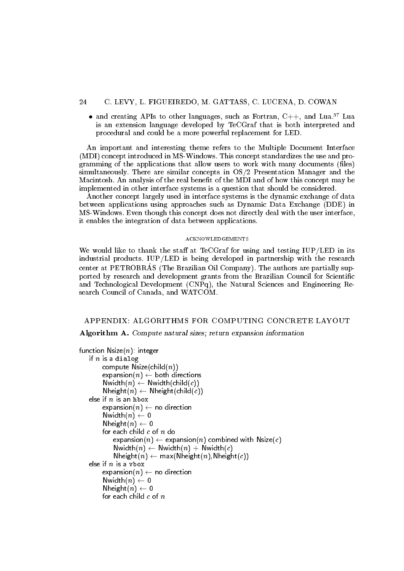#### 24 C- LEVY L- FIGUEIREDO M- GATTASS C- LUCENA D- COWAN

 $\bullet$  and creating APIs to other languages, such as Fortran,  $\circ$ ++, and Lua. Luais an extension language developed by TeCGraf that is both interpreted and procedural and could be a more powerful replacement for LED-

An important and interesting theme refers to the Multiple Document Interface MDI concept introduced in MSWindows- This concept standardizes the use and pro gramming of the applications that allow users to work with many documents (files) simultaneously- There are similar concepts in OS Presentation Manager and the Macintosh- An analysis of the real benet of the MDI and of how this concept may be implemented in other interface systems is a question that should be considered-

Another concept largely used in interface systems is the dynamic exchange of data between applications using approaches such as Dynamic Data Exchange (DDE) in MSWindows- Even though this concept does not directly deal with the user interface it enables the integration of data between applications-

## ACKNOWLEDGEMENTS

We would like to thank the staff at TeCGraf for using and testing  $IUP/LED$  in its industrial products- IUPLED is being developed in partnership with the research center at FETROBRAS THE Brazilian On Company). The authors are partially supported by research and development grants from the Brazilian Council for Scientific and Technological Development (CNPq), the Natural Sciences and Engineering Research Council of Canada, and WATCOM.

# APPENDIX: ALGORITHMS FOR COMPUTING CONCRETE LAYOUT

Algorithm A. Compute natural sizes; return expansion information

```
function Nsizen-
 integerii \mu is a ulalog \mucompute Nsize(child(n))
           \epsilonxpansion(n) \leftarrow both directions
           Nwidthn -
 Nwidthchildc
           Nheightn -
 Nheightchildc
    \epsilon is an inpox
           \epsilonxpansion\mu \mu \rightarrow no direction
           Nwidthn -

           Nheightn -

           ror cach child c of n do \sim\epsilonapansionn\mu - \epsilonapansionn\mui combined with Nsizer\epsiloni
                Nwidthn -
 Nwidthn  Nwidthc
                nheightn - maxni - maximum - maximum - maximum - maximum - maximum - maximum - maximum - maximum - maximum - m
    \epsilon is a vbox.
           \epsilonxpansion\mu \mu \rightarrow no direction
           n - Nwidtham - Nwidthn - Nwidthn - Nwidthn - Nwidthn - Nwidthn - Nwidthn - Nwidthn - Nwidthn - Nwidthn - Nwidth
           nheightn - Nheightn - Nheightn - Nheightn - Nheightn - Nheightn - Nheightn - Nheightn - Nheightn - Nheightn - N
           \overline{\phantom{a}} case child c of \overline{\phantom{a}}
```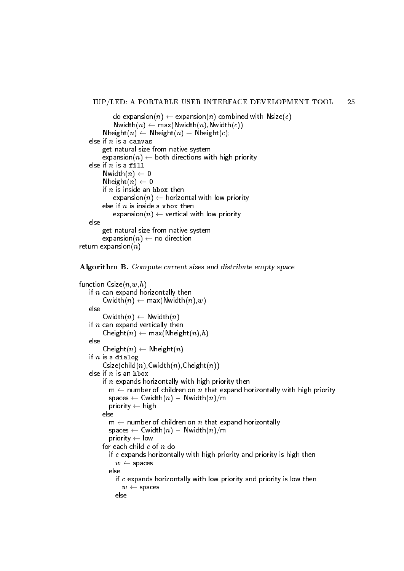```
\mathbf w expansion is \mathbf w expansion is compiled with NSIZE to the
                 Nwidthn -
 maxNwidthnNwidthc
           n - Nheight - Nheight - Nheight - Nheightch - Nheightch - Nheightch - Nheightch - Nheightch - Nheightch - Nheightch
     else if n is a canvas
           get natural size from native system\epsilonxpansion(n) \leftarrow both directions with high priority
     \epsilon is a fill \epsilonn - Nwidtham - Nwidthn - Nwidthn - Nwidthn - Nwidthn - Nwidthn - Nwidthn - Nwidthn - Nwidthn - Nwidthn - Nwidth
           nheightn - Nheightn - Nheightn - Nheightn - Nheightn - Nheightn - Nheightn - Nheightn - Nheightn - Nheightn - N
           \cdots is inside an hbox then
                 \sim pansion (\ell) \rightarrow - horizontal with low priority
           \mathcal{L}is is inside a vbox then \mathcal{L}\alphapansion\alpha is a vertical with low priority
    elseget natural size from native system\epsilonxpansion\mu \mu \rightarrow no direction
return expansion(n)
```
# Algorithm B. Compute current sizes and distribute empty space

```
function \mathsf{C}size(n,w,h)\mathfrak n \mathfrak r can expand horizontally then
           Cwidthn -
 maxNwidthnw
    elser and a new particle in the contract of the contract of the contract of the contract of the contract of the contract of the contract of the contract of the contract of the contract of the contract of the contract of the co
     \mathfrak n can expand vertically then \mathfrak nCheightn -
 maxNheightnh
    elseCheightn -
 Nheightn
     \mathfrak n \mathfrak n is a dialog
           \textsf{Csize}(\textsf{child}(n),\textsf{Cwidth}(n),\textsf{Cheight}(n))\epsilon is an inpox
           \overline{n} capands horizontally with high priority then
              m \leftarrow number of children on n that expand horizontally with high priority
              spaces - Cwidthn - Cwidthn - Cwidthn - Cwidthn - Cwidthn - Cwidthn - Cwidthn - Cwidthn - Cwidthn - Cwidthnm - C
              priority -
 high
           elsem \leftarrow number of children on n that expand horizontally
              spaces - Cwidthn - Cwidthn - Cwidthn - Cwidthn - Cwidthn - Cwidthn - Cwidthn - Cwidthn - Cwidthn - Cwidthnm - C
              priority -
 low
           ror cach child c of n do \simif c expands horizontally with high priority and priority is high then
                 w -
 spaces
              elseif c expands horizontally with low priority and priority is low then
                    w -
 spaces
                else
```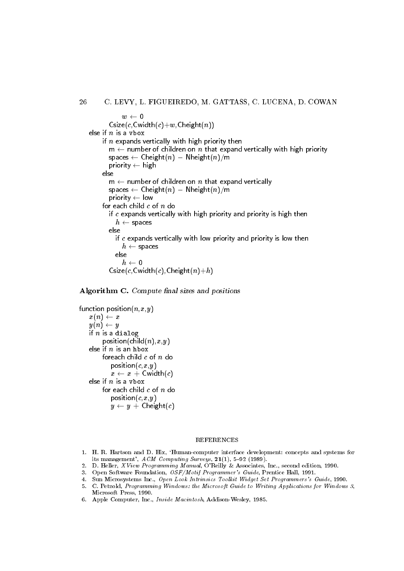```
Csize(c,Cwidth(c)+w,Cheight(n))\epsilon is a vbox.
    \mu capands vertically with high priority then
      m \leftarrow number of children on n that expand vertically with high priority
      spaces - Cheightin - Cheightni
      priority -
 high
   elsem \leftarrow number of children on n that expand vertically
      spaces - Cheightn  Nheightn  Nheightn
      priority -
 low
    for each child c of n do
      \alpha c expands vertically with high priority and priority is high then \alphah -
 spaces
     elseif c expands vertically with low priority and priority is low then
          h -
 spaces
       elseCsize(c,Cwidth(c),Cheight(n)+h)
```
Algorithm C. Compute final sizes and positions

```
function position(n,x,y)\cdots . \cdots\mathbf{v} , \mathbf{v} , \mathbf{v} , \mathbf{v} , \mathbf{v} , \mathbf{v} , \mathbf{v} , \mathbf{v} , \mathbf{v} , \mathbf{v} , \mathbf{v} , \mathbf{v} , \mathbf{v} , \mathbf{v} , \mathbf{v} , \mathbf{v} , \mathbf{v} , \mathbf{v} , \mathbf{v} , \mathbf{v} , ii \mu is a ulalog \muposition(child(n),x,y)
      \epsilon is an inpox
               foreach child c or n do
                    position(c,x,y)\psi \leftarrow \psi \top \cup \text{W1U11} (c)
      \Boxelse if \mu is a vbo\Lambdafor each child c of n do
                    position(c,x,y)y - y - Cheight(c)
```
### REFERENCES

- et and and historical distribution and distribution concepts and systems for an operation for an operation for its manufactures to compute the surveyster of the surveys-
- D Heller- XView Programming Manual- OReilly Associates- Inc- second edition-
- Open Software Foundation- OSFMotif Programmers Guide- Prentice Hall-
- Sun Microsystems Inc- Open Look Intrinsics Toolkit Widget Set Programmerss Guide-
- C Petzold- Programming Windows the Microsoft Guide to Writing Applications for Windows - $\mathbf{M}$
- Apple Computer- Inc- Inside Macintosh- AddisonWesley-